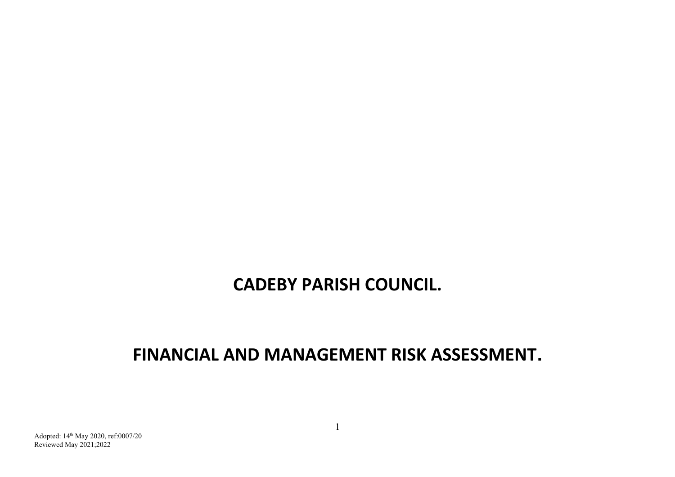## **CADEBY PARISH COUNCIL.**

## **FINANCIAL AND MANAGEMENT RISK ASSESSMENT.**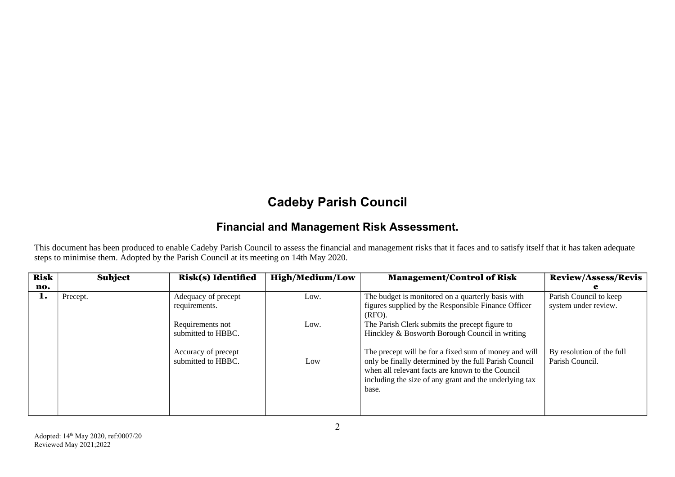## **Cadeby Parish Council**

## **Financial and Management Risk Assessment.**

This document has been produced to enable Cadeby Parish Council to assess the financial and management risks that it faces and to satisfy itself that it has taken adequate steps to minimise them. Adopted by the Parish Council at its meeting on 14th May 2020.

| <b>Risk</b> | Subject  | <b>Risk(s)</b> Identified                 | <b>High/Medium/Low</b> | <b>Management/Control of Risk</b>                                                                                                                                                                                                     | <b>Review/Assess/Revis</b>                     |
|-------------|----------|-------------------------------------------|------------------------|---------------------------------------------------------------------------------------------------------------------------------------------------------------------------------------------------------------------------------------|------------------------------------------------|
| no.         |          |                                           |                        |                                                                                                                                                                                                                                       |                                                |
| 1.          | Precept. | Adequacy of precept<br>requirements.      | Low.                   | The budget is monitored on a quarterly basis with<br>figures supplied by the Responsible Finance Officer<br>$(RFO)$ .                                                                                                                 | Parish Council to keep<br>system under review. |
|             |          | Requirements not<br>submitted to HBBC.    | Low.                   | The Parish Clerk submits the precept figure to<br>Hinckley & Bosworth Borough Council in writing                                                                                                                                      |                                                |
|             |          | Accuracy of precept<br>submitted to HBBC. | Low                    | The precept will be for a fixed sum of money and will<br>only be finally determined by the full Parish Council<br>when all relevant facts are known to the Council<br>including the size of any grant and the underlying tax<br>base. | By resolution of the full<br>Parish Council.   |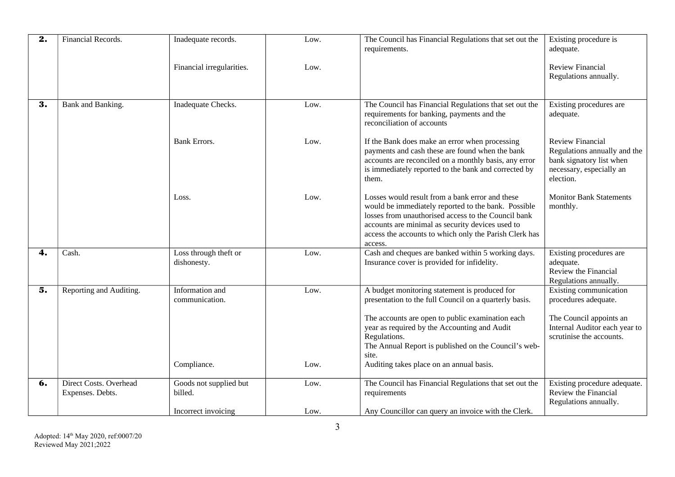| $\overline{2}$ . | Financial Records.                                | Inadequate records.                  | Low. | The Council has Financial Regulations that set out the                                                                                                                                                                                                                                 | Existing procedure is                                                                                                        |
|------------------|---------------------------------------------------|--------------------------------------|------|----------------------------------------------------------------------------------------------------------------------------------------------------------------------------------------------------------------------------------------------------------------------------------------|------------------------------------------------------------------------------------------------------------------------------|
|                  |                                                   |                                      |      | requirements.                                                                                                                                                                                                                                                                          | adequate.                                                                                                                    |
|                  |                                                   | Financial irregularities.            | Low. |                                                                                                                                                                                                                                                                                        | Review Financial<br>Regulations annually.                                                                                    |
| 3.               | Bank and Banking.                                 | Inadequate Checks.                   | Low. | The Council has Financial Regulations that set out the<br>requirements for banking, payments and the<br>reconciliation of accounts                                                                                                                                                     | Existing procedures are<br>adequate.                                                                                         |
|                  |                                                   | <b>Bank Errors.</b>                  | Low. | If the Bank does make an error when processing<br>payments and cash these are found when the bank<br>accounts are reconciled on a monthly basis, any error<br>is immediately reported to the bank and corrected by<br>them.                                                            | <b>Review Financial</b><br>Regulations annually and the<br>bank signatory list when<br>necessary, especially an<br>election. |
|                  |                                                   | Loss.                                | Low. | Losses would result from a bank error and these<br>would be immediately reported to the bank. Possible<br>losses from unauthorised access to the Council bank<br>accounts are minimal as security devices used to<br>access the accounts to which only the Parish Clerk has<br>access. | <b>Monitor Bank Statements</b><br>monthly.                                                                                   |
| 4.               | Cash.                                             | Loss through theft or<br>dishonesty. | Low. | Cash and cheques are banked within 5 working days.<br>Insurance cover is provided for infidelity.                                                                                                                                                                                      | Existing procedures are<br>adequate.<br>Review the Financial<br>Regulations annually.                                        |
| 5.               | Reporting and Auditing.                           | Information and<br>communication.    | Low. | A budget monitoring statement is produced for<br>presentation to the full Council on a quarterly basis.                                                                                                                                                                                | <b>Existing communication</b><br>procedures adequate.                                                                        |
|                  |                                                   |                                      |      | The accounts are open to public examination each<br>year as required by the Accounting and Audit<br>Regulations.<br>The Annual Report is published on the Council's web-<br>site.                                                                                                      | The Council appoints an<br>Internal Auditor each year to<br>scrutinise the accounts.                                         |
|                  |                                                   | Compliance.                          | Low. | Auditing takes place on an annual basis.                                                                                                                                                                                                                                               |                                                                                                                              |
| 6.               | <b>Direct Costs. Overhead</b><br>Expenses. Debts. | Goods not supplied but<br>billed.    | Low. | The Council has Financial Regulations that set out the<br>requirements                                                                                                                                                                                                                 | Existing procedure adequate.<br>Review the Financial<br>Regulations annually.                                                |
|                  |                                                   | Incorrect invoicing                  | Low. | Any Councillor can query an invoice with the Clerk.                                                                                                                                                                                                                                    |                                                                                                                              |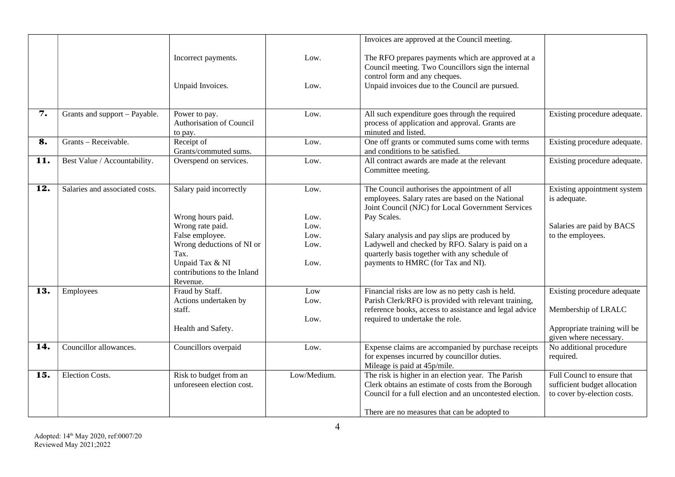|     |                                |                                                                                                                                                                                        |                                              | Invoices are approved at the Council meeting.                                                                                                                                                                                                                                                                                                                      |                                                                                                              |
|-----|--------------------------------|----------------------------------------------------------------------------------------------------------------------------------------------------------------------------------------|----------------------------------------------|--------------------------------------------------------------------------------------------------------------------------------------------------------------------------------------------------------------------------------------------------------------------------------------------------------------------------------------------------------------------|--------------------------------------------------------------------------------------------------------------|
|     |                                | Incorrect payments.<br>Unpaid Invoices.                                                                                                                                                | Low.<br>Low.                                 | The RFO prepares payments which are approved at a<br>Council meeting. Two Councillors sign the internal<br>control form and any cheques.<br>Unpaid invoices due to the Council are pursued.                                                                                                                                                                        |                                                                                                              |
| 7.  | Grants and support - Payable.  | Power to pay.<br>Authorisation of Council<br>to pay.                                                                                                                                   | Low.                                         | All such expenditure goes through the required<br>process of application and approval. Grants are<br>minuted and listed.                                                                                                                                                                                                                                           | Existing procedure adequate.                                                                                 |
| 8.  | Grants - Receivable.           | Receipt of<br>Grants/commuted sums.                                                                                                                                                    | Low.                                         | One off grants or commuted sums come with terms<br>and conditions to be satisfied.                                                                                                                                                                                                                                                                                 | Existing procedure adequate.                                                                                 |
| 11. | Best Value / Accountability.   | Overspend on services.                                                                                                                                                                 | Low.                                         | All contract awards are made at the relevant<br>Committee meeting.                                                                                                                                                                                                                                                                                                 | Existing procedure adequate.                                                                                 |
| 12. | Salaries and associated costs. | Salary paid incorrectly<br>Wrong hours paid.<br>Wrong rate paid.<br>False employee.<br>Wrong deductions of NI or<br>Tax.<br>Unpaid Tax & NI<br>contributions to the Inland<br>Revenue. | Low.<br>Low.<br>Low.<br>Low.<br>Low.<br>Low. | The Council authorises the appointment of all<br>employees. Salary rates are based on the National<br>Joint Council (NJC) for Local Government Services<br>Pay Scales.<br>Salary analysis and pay slips are produced by<br>Ladywell and checked by RFO. Salary is paid on a<br>quarterly basis together with any schedule of<br>payments to HMRC (for Tax and NI). | Existing appointment system<br>is adequate.<br>Salaries are paid by BACS<br>to the employees.                |
| 13. | Employees                      | Fraud by Staff.<br>Actions undertaken by<br>staff.<br>Health and Safety.                                                                                                               | Low<br>Low.<br>Low.                          | Financial risks are low as no petty cash is held.<br>Parish Clerk/RFO is provided with relevant training,<br>reference books, access to assistance and legal advice<br>required to undertake the role.                                                                                                                                                             | Existing procedure adequate<br>Membership of LRALC<br>Appropriate training will be<br>given where necessary. |
| 14. | Councillor allowances.         | Councillors overpaid                                                                                                                                                                   | Low.                                         | Expense claims are accompanied by purchase receipts<br>for expenses incurred by councillor duties.<br>Mileage is paid at 45p/mile.                                                                                                                                                                                                                                 | No additional procedure<br>required.                                                                         |
| 15. | <b>Election Costs.</b>         | Risk to budget from an<br>unforeseen election cost.                                                                                                                                    | Low/Medium.                                  | The risk is higher in an election year. The Parish<br>Clerk obtains an estimate of costs from the Borough<br>Council for a full election and an uncontested election.<br>There are no measures that can be adopted to                                                                                                                                              | Full Councl to ensure that<br>sufficient budget allocation<br>to cover by-election costs.                    |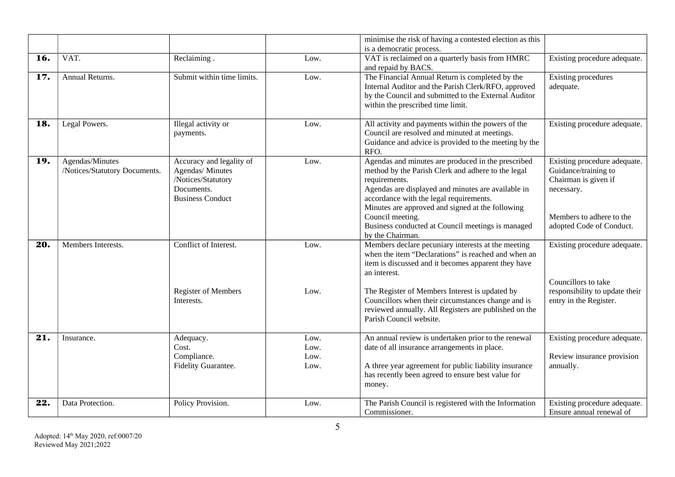|                   |                                                  |                                                                                                             |                              | minimise the risk of having a contested election as this<br>is a democratic process.                                                                                                                                                                                                                                                                    |                                                                                                                                                    |
|-------------------|--------------------------------------------------|-------------------------------------------------------------------------------------------------------------|------------------------------|---------------------------------------------------------------------------------------------------------------------------------------------------------------------------------------------------------------------------------------------------------------------------------------------------------------------------------------------------------|----------------------------------------------------------------------------------------------------------------------------------------------------|
| 16.               | VAT.                                             | Reclaiming.                                                                                                 | Low.                         | VAT is reclaimed on a quarterly basis from HMRC<br>and repaid by BACS.                                                                                                                                                                                                                                                                                  | Existing procedure adequate.                                                                                                                       |
| 17.               | Annual Returns.                                  | Submit within time limits.                                                                                  | Low.                         | The Financial Annual Return is completed by the<br>Internal Auditor and the Parish Clerk/RFO, approved<br>by the Council and submitted to the External Auditor<br>within the prescribed time limit.                                                                                                                                                     | <b>Existing procedures</b><br>adequate.                                                                                                            |
| 18.               | Legal Powers.                                    | Illegal activity or<br>payments.                                                                            | Low.                         | All activity and payments within the powers of the<br>Council are resolved and minuted at meetings.<br>Guidance and advice is provided to the meeting by the<br>RFO.                                                                                                                                                                                    | Existing procedure adequate.                                                                                                                       |
| 19.               | Agendas/Minutes<br>/Notices/Statutory Documents. | Accuracy and legality of<br>Agendas/ Minutes<br>/Notices/Statutory<br>Documents.<br><b>Business Conduct</b> | Low.                         | Agendas and minutes are produced in the prescribed<br>method by the Parish Clerk and adhere to the legal<br>requirements.<br>Agendas are displayed and minutes are available in<br>accordance with the legal requirements.<br>Minutes are approved and signed at the following<br>Council meeting.<br>Business conducted at Council meetings is managed | Existing procedure adequate.<br>Guidance/training to<br>Chairman is given if<br>necessary.<br>Members to adhere to the<br>adopted Code of Conduct. |
| 20.               | Members Interests.                               | Conflict of Interest.                                                                                       | Low.                         | by the Chairman.<br>Members declare pecuniary interests at the meeting<br>when the item "Declarations" is reached and when an<br>item is discussed and it becomes apparent they have<br>an interest.                                                                                                                                                    | Existing procedure adequate.                                                                                                                       |
|                   |                                                  | <b>Register of Members</b><br>Interests.                                                                    | Low.                         | The Register of Members Interest is updated by<br>Councillors when their circumstances change and is<br>reviewed annually. All Registers are published on the<br>Parish Council website.                                                                                                                                                                | Councillors to take<br>responsibility to update their<br>entry in the Register.                                                                    |
| $\overline{21}$ . | Insurance.                                       | Adequacy.<br>Cost.<br>Compliance.<br>Fidelity Guarantee.                                                    | Low.<br>Low.<br>Low.<br>Low. | An annual review is undertaken prior to the renewal<br>date of all insurance arrangements in place.<br>A three year agreement for public liability insurance<br>has recently been agreed to ensure best value for<br>money.                                                                                                                             | Existing procedure adequate.<br>Review insurance provision<br>annually.                                                                            |
| 22.               | Data Protection.                                 | Policy Provision.                                                                                           | Low.                         | The Parish Council is registered with the Information<br>Commissioner.                                                                                                                                                                                                                                                                                  | Existing procedure adequate.<br>Ensure annual renewal of                                                                                           |